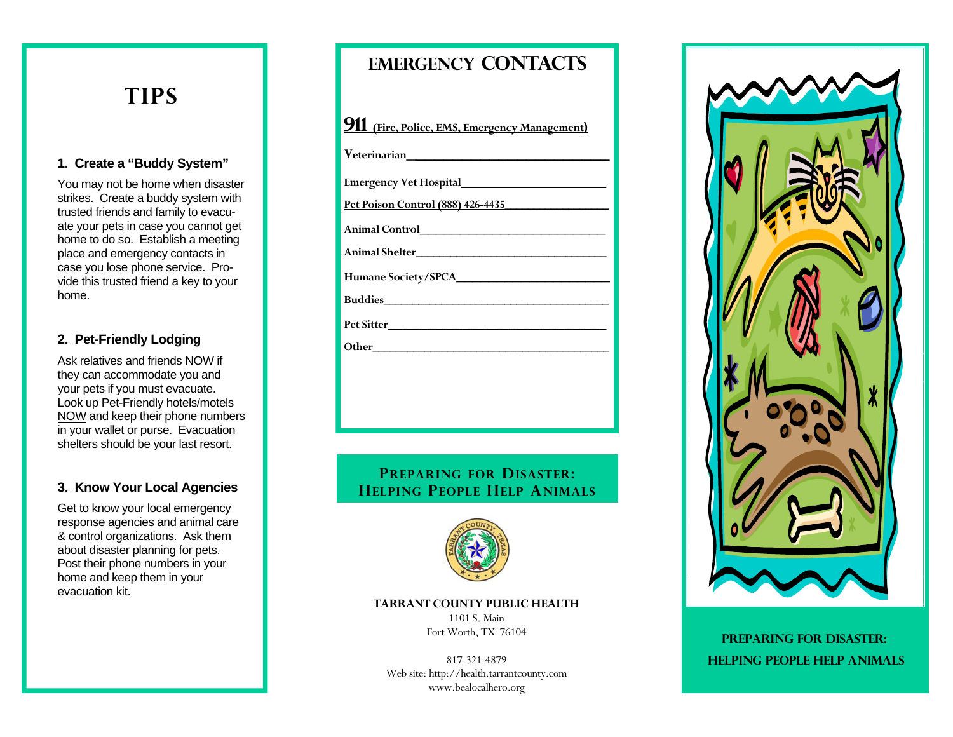# **TIPS**

### **1. Create a "Buddy System"**

You may not be home when disaster strikes. Create a buddy system with trusted friends and family to evacuate your pets in case you cannot get home to do so. Establish a meeting place and emergency contacts in case you lose phone service. Provide this trusted friend a key to your home.

## **2. Pet-Friendly Lodging**

Ask relatives and friends NOW if they can accommodate you and your pets if you must evacuate. Look up Pet-Friendly hotels/motels NOW and keep their phone numbers in your wallet or purse. Evacuation shelters should be your last resort.

### **3. Know Your Local Agencies**

Get to know your local emergency response agencies and animal care & control organizations. Ask them about disaster planning for pets. Post their phone numbers in your home and keep them in your evacuation kit.

# **Emergency contacts**

**911 (Fire, Police, EMS, Emergency Management)** 

**Veterinarian \_\_\_\_\_\_\_\_\_\_\_\_\_\_\_\_\_\_\_\_\_\_**

**Emergency Vet Hospital\_\_\_\_\_\_\_\_\_\_\_\_\_\_\_\_\_\_**

**Pet Poison Control (888) 426-4435\_\_\_\_\_\_\_\_\_\_\_\_\_\_\_\_\_\_**

**Animal Control\_\_\_\_\_\_\_\_\_\_\_\_\_\_\_\_\_\_\_\_\_\_\_** 

**Animal Shelter\_\_\_\_\_\_\_\_\_\_\_\_\_\_\_\_\_\_\_\_\_\_\_\_\_\_\_\_\_\_\_\_\_** 

**Humane Society/SPCA\_\_\_\_\_\_\_\_\_\_\_\_\_\_\_\_\_\_\_** 

**Buddies** 

**Pet Sitter\_\_\_\_\_\_\_\_\_\_\_\_\_\_\_\_\_\_\_\_\_\_\_\_\_\_\_** 

**Other\_\_\_\_\_\_\_\_\_\_\_\_\_\_\_\_\_\_\_\_\_\_\_\_\_\_\_\_\_\_\_\_\_\_\_\_\_\_\_\_\_** 

**PREPARING FOR DISASTER: HELPING PEOPLE HELP ANIMALS**



**TARRANT COUNTY PUBLIC HEALTH** 

1101 S. Main Fort Worth, TX 76104

817-321-4879 Web site: http://health.tarrantcounty.com www.bealocalhero.org



**PREPARING FOR DISASTER: HELPING PEOPLE HELP ANIMALS**